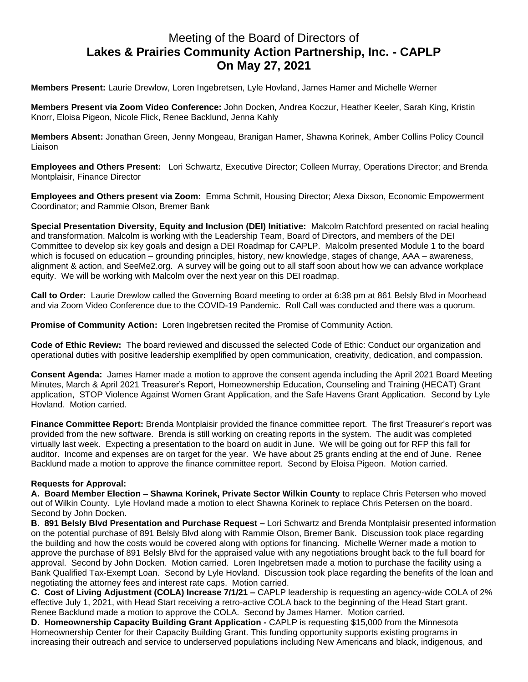## Meeting of the Board of Directors of **Lakes & Prairies Community Action Partnership, Inc. - CAPLP On May 27, 2021**

**Members Present:** Laurie Drewlow, Loren Ingebretsen, Lyle Hovland, James Hamer and Michelle Werner

**Members Present via Zoom Video Conference:** John Docken, Andrea Koczur, Heather Keeler, Sarah King, Kristin Knorr, Eloisa Pigeon, Nicole Flick, Renee Backlund, Jenna Kahly

**Members Absent:** Jonathan Green, Jenny Mongeau, Branigan Hamer, Shawna Korinek, Amber Collins Policy Council Liaison

**Employees and Others Present:** Lori Schwartz, Executive Director; Colleen Murray, Operations Director; and Brenda Montplaisir, Finance Director

**Employees and Others present via Zoom:** Emma Schmit, Housing Director; Alexa Dixson, Economic Empowerment Coordinator; and Rammie Olson, Bremer Bank

**Special Presentation Diversity, Equity and Inclusion (DEI) Initiative:** Malcolm Ratchford presented on racial healing and transformation. Malcolm is working with the Leadership Team, Board of Directors, and members of the DEI Committee to develop six key goals and design a DEI Roadmap for CAPLP. Malcolm presented Module 1 to the board which is focused on education – grounding principles, history, new knowledge, stages of change, AAA – awareness, alignment & action, and SeeMe2.org. A survey will be going out to all staff soon about how we can advance workplace equity. We will be working with Malcolm over the next year on this DEI roadmap.

**Call to Order:** Laurie Drewlow called the Governing Board meeting to order at 6:38 pm at 861 Belsly Blvd in Moorhead and via Zoom Video Conference due to the COVID-19 Pandemic. Roll Call was conducted and there was a quorum.

**Promise of Community Action:** Loren Ingebretsen recited the Promise of Community Action.

**Code of Ethic Review:** The board reviewed and discussed the selected Code of Ethic: Conduct our organization and operational duties with positive leadership exemplified by open communication, creativity, dedication, and compassion.

**Consent Agenda:** James Hamer made a motion to approve the consent agenda including the April 2021 Board Meeting Minutes, March & April 2021 Treasurer's Report, Homeownership Education, Counseling and Training (HECAT) Grant application, STOP Violence Against Women Grant Application, and the Safe Havens Grant Application. Second by Lyle Hovland. Motion carried.

**Finance Committee Report:** Brenda Montplaisir provided the finance committee report. The first Treasurer's report was provided from the new software. Brenda is still working on creating reports in the system. The audit was completed virtually last week. Expecting a presentation to the board on audit in June. We will be going out for RFP this fall for auditor. Income and expenses are on target for the year. We have about 25 grants ending at the end of June. Renee Backlund made a motion to approve the finance committee report. Second by Eloisa Pigeon. Motion carried.

## **Requests for Approval:**

**A. Board Member Election – Shawna Korinek, Private Sector Wilkin County** to replace Chris Petersen who moved out of Wilkin County. Lyle Hovland made a motion to elect Shawna Korinek to replace Chris Petersen on the board. Second by John Docken.

**B. 891 Belsly Blvd Presentation and Purchase Request –** Lori Schwartz and Brenda Montplaisir presented information on the potential purchase of 891 Belsly Blvd along with Rammie Olson, Bremer Bank. Discussion took place regarding the building and how the costs would be covered along with options for financing. Michelle Werner made a motion to approve the purchase of 891 Belsly Blvd for the appraised value with any negotiations brought back to the full board for approval. Second by John Docken. Motion carried. Loren Ingebretsen made a motion to purchase the facility using a Bank Qualified Tax-Exempt Loan. Second by Lyle Hovland. Discussion took place regarding the benefits of the loan and negotiating the attorney fees and interest rate caps. Motion carried.

**C. Cost of Living Adjustment (COLA) Increase 7/1/21 –** CAPLP leadership is requesting an agency-wide COLA of 2% effective July 1, 2021, with Head Start receiving a retro-active COLA back to the beginning of the Head Start grant. Renee Backlund made a motion to approve the COLA. Second by James Hamer. Motion carried.

**D. Homeownership Capacity Building Grant Application -** CAPLP is requesting \$15,000 from the Minnesota Homeownership Center for their Capacity Building Grant. This funding opportunity supports existing programs in increasing their outreach and service to underserved populations including New Americans and black, indigenous, and